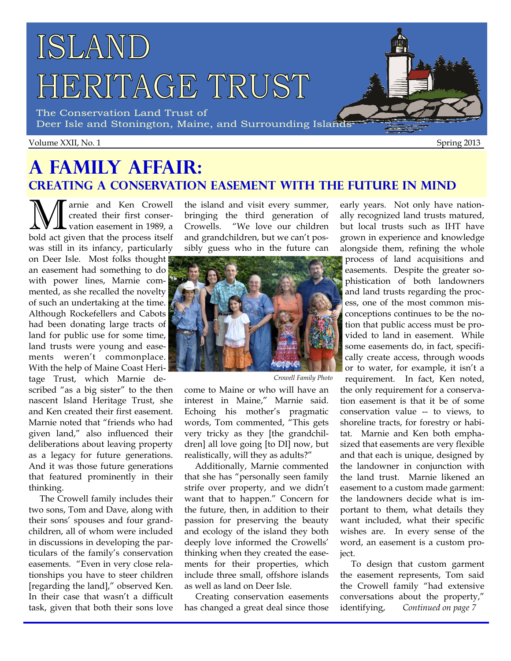# ISLAND HERITAGE TRUST

The Conservation Land Trust of Deer Isle and Stonington, Maine, and Surrounding Islands

#### Volume XXII, No. 1 Spring 2013

### **A Family Affair: Creating a Conservation Easement with the Future in Mind**

**M** arnie and Ken Crowell<br>created their first conser-<br>hold act given that the process itself created their first conservation easement in 1989, a bold act given that the process itself was still in its infancy, particularly

on Deer Isle. Most folks thought an easement had something to do with power lines, Marnie commented, as she recalled the novelty of such an undertaking at the time. Although Rockefellers and Cabots had been donating large tracts of land for public use for some time, land trusts were young and easements weren't commonplace. With the help of Maine Coast Heri-

tage Trust, which Marnie described "as a big sister" to the then nascent Island Heritage Trust, she and Ken created their first easement. Marnie noted that "friends who had given land," also influenced their deliberations about leaving property as a legacy for future generations. And it was those future generations that featured prominently in their thinking.

The Crowell family includes their two sons, Tom and Dave, along with their sons' spouses and four grandchildren, all of whom were included in discussions in developing the particulars of the family's conservation easements. "Even in very close relationships you have to steer children [regarding the land]," observed Ken. In their case that wasn't a difficult task, given that both their sons love the island and visit every summer, bringing the third generation of Crowells. "We love our children and grandchildren, but we can't possibly guess who in the future can



*Crowell Family Photo* 

come to Maine or who will have an interest in Maine," Marnie said. Echoing his mother's pragmatic words, Tom commented, "This gets very tricky as they [the grandchildren] all love going [to DI] now, but realistically, will they as adults?"

Additionally, Marnie commented that she has "personally seen family strife over property, and we didn't want that to happen." Concern for the future, then, in addition to their passion for preserving the beauty and ecology of the island they both deeply love informed the Crowells' thinking when they created the easements for their properties, which include three small, offshore islands as well as land on Deer Isle.

Creating conservation easements has changed a great deal since those

early years. Not only have nationally recognized land trusts matured, but local trusts such as IHT have grown in experience and knowledge alongside them, refining the whole

process of land acquisitions and easements. Despite the greater sophistication of both landowners and land trusts regarding the process, one of the most common misconceptions continues to be the notion that public access must be provided to land in easement. While some easements do, in fact, specifically create access, through woods or to water, for example, it isn't a

requirement. In fact, Ken noted, the only requirement for a conservation easement is that it be of some conservation value -- to views, to shoreline tracts, for forestry or habitat. Marnie and Ken both emphasized that easements are very flexible and that each is unique, designed by the landowner in conjunction with the land trust. Marnie likened an easement to a custom made garment: the landowners decide what is important to them, what details they want included, what their specific wishes are. In every sense of the word, an easement is a custom project.

To design that custom garment the easement represents, Tom said the Crowell family "had extensive conversations about the property," identifying, *Continued on page 7*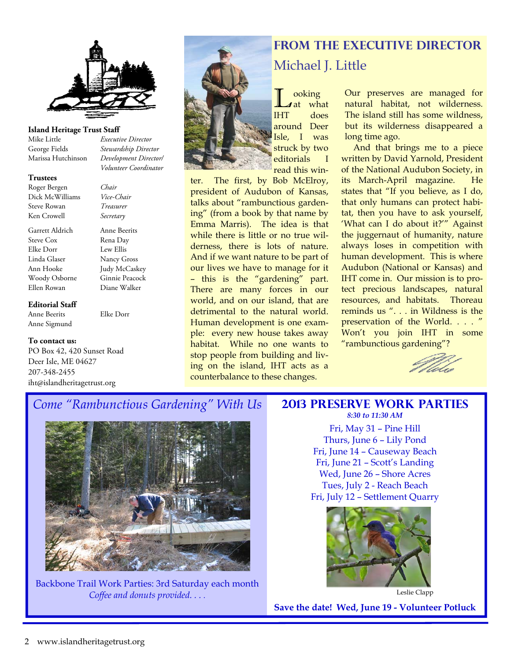

#### **Island Heritage Trust Staff**

Mike Little *Executive Director* George Fields *Stewardship Director* Marissa Hutchinson *Development Director/* 

**Trustees**  Roger Bergen *Chair* Dick McWilliams *Vice-Chair*  Steve Rowan *Treasurer*

Garrett Aldrich Anne Beerits Steve Cox Rena Day Elke Dorr Lew Ellis Linda Glaser Nancy Gross Ann Hooke Judy McCaskey Woody Osborne Ginnie Peacock

 *Volunteer Coordinator*

Ken Crowell *Secretary* 

Anne Beerits Elke Dorr

#### **To contact us:**

Anne Sigmund

**Editorial Staff** 

PO Box 42, 420 Sunset Road Deer Isle, ME 04627 207-348-2455 iht@islandheritagetrust.org

Ellen Rowan Diane Walker



 $\begin{array}{c}\n\text{Joint} \\
\text{Jat} \\
\text{IHT} \\
\text{d} \\
\text{O} \\
\end{array}$ around Deer Isle, I was struck by two editorials I read this win-

ter. The first, by Bob McElroy, president of Audubon of Kansas, talks about "rambunctious gardening" (from a book by that name by Emma Marris). The idea is that while there is little or no true wilderness, there is lots of nature. And if we want nature to be part of our lives we have to manage for it – this is the "gardening" part. There are many forces in our world, and on our island, that are detrimental to the natural world. Human development is one example: every new house takes away habitat. While no one wants to stop people from building and living on the island, IHT acts as a counterbalance to these changes.

### **From the Executive Director**  Michael J. Little

what does Our preserves are managed for natural habitat, not wilderness. The island still has some wildness, but its wilderness disappeared a long time ago.

 And that brings me to a piece written by David Yarnold, President of the National Audubon Society, in its March-April magazine. He states that "If you believe, as I do, that only humans can protect habitat, then you have to ask yourself, 'What can I do about it?'" Against the juggernaut of humanity, nature always loses in competition with human development. This is where Audubon (National or Kansas) and IHT come in. Our mission is to protect precious landscapes, natural resources, and habitats. Thoreau reminds us ". . . in Wildness is the preservation of the World. . . . " Won't you join IHT in some "rambunctious gardening"?



### *Come "Rambunctious Gardening" With Us*



Backbone Trail Work Parties: 3rd Saturday each month *Coffee and donuts provided. . . .* Leslie Clapp

#### **2013 Preserve Work Parties**  *8:30 to 11:30 AM*

Fri, May 31 – Pine Hill Thurs, June 6 – Lily Pond Fri, June 14 – Causeway Beach Fri, June 21 – Scott's Landing Wed, June 26 – Shore Acres Tues, July 2 - Reach Beach Fri, July 12 – Settlement Quarry



**Save the date! Wed, June 19 - Volunteer Potluck**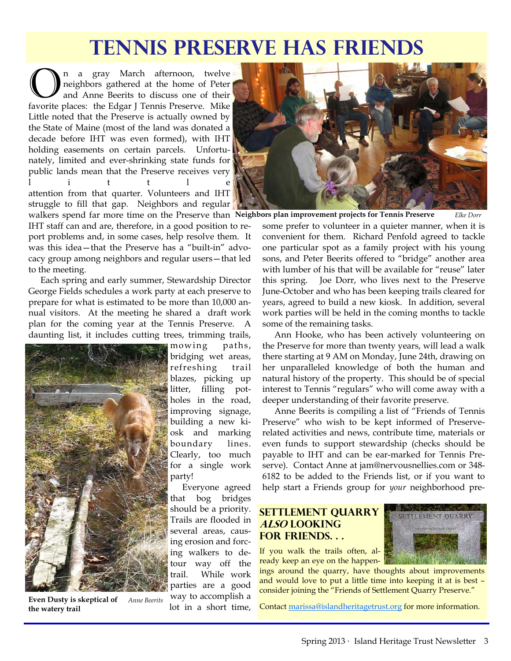# **Tennis Preserve Has Friends**

 $\bigodot$ <sup>n</sup> a gray March afternoon, twelve<br>
one ighbors gathered at the home of Peter<br>
foucito places: the Edgar I Tennis Presentic Mike neighbors gathered at the home of Peter and Anne Beerits to discuss one of their favorite places: the Edgar J Tennis Preserve. Mike Little noted that the Preserve is actually owned by the State of Maine (most of the land was donated a decade before IHT was even formed), with IHT holding easements on certain parcels. Unfortunately, limited and ever-shrinking state funds for public lands mean that the Preserve receives very l i t t l e attention from that quarter. Volunteers and IHT struggle to fill that gap. Neighbors and regular

walkers spend far more time on the Preserve than Neighbors plan improvement projects for Tennis Preserve *Like Dorr* IHT staff can and are, therefore, in a good position to report problems and, in some cases, help resolve them. It was this idea—that the Preserve has a "built-in" advocacy group among neighbors and regular users—that led to the meeting.

 Each spring and early summer, Stewardship Director George Fields schedules a work party at each preserve to prepare for what is estimated to be more than 10,000 annual visitors. At the meeting he shared a draft work plan for the coming year at the Tennis Preserve. A daunting list, it includes cutting trees, trimming trails,



**Even Dusty is skeptical of** *Anne Beerits*  **the watery trail** 

mowing paths, bridging wet areas, refreshing trail blazes, picking up litter, filling potholes in the road, improving signage, building a new kiosk and marking boundary lines. Clearly, too much for a single work party!

 Everyone agreed that bog bridges should be a priority. Trails are flooded in several areas, causing erosion and forcing walkers to detour way off the trail. While work parties are a good way to accomplish a lot in a short time,



some prefer to volunteer in a quieter manner, when it is convenient for them. Richard Penfold agreed to tackle one particular spot as a family project with his young sons, and Peter Beerits offered to "bridge" another area with lumber of his that will be available for "reuse" later this spring. Joe Dorr, who lives next to the Preserve June-October and who has been keeping trails cleared for years, agreed to build a new kiosk. In addition, several work parties will be held in the coming months to tackle some of the remaining tasks.

 Ann Hooke, who has been actively volunteering on the Preserve for more than twenty years, will lead a walk there starting at 9 AM on Monday, June 24th, drawing on her unparalleled knowledge of both the human and natural history of the property. This should be of special interest to Tennis "regulars" who will come away with a deeper understanding of their favorite preserve.

 Anne Beerits is compiling a list of "Friends of Tennis Preserve" who wish to be kept informed of Preserverelated activities and news, contribute time, materials or even funds to support stewardship (checks should be payable to IHT and can be ear-marked for Tennis Preserve). Contact Anne at jam@nervousnellies.com or 348- 6182 to be added to the Friends list, or if you want to help start a Friends group for *your* neighborhood pre-

### **Settlement Quarry also looking for Friends. . .**

If you walk the trails often, already keep an eye on the happen-

ings around the quarry, have thoughts about improvements and would love to put a little time into keeping it at is best – consider joining the "Friends of Settlement Quarry Preserve."

Contact [marissa@islandheritagetrust.org](mailto:marissa@islandheritagetrust.org) for more information.

SETTLEMENT OUARRY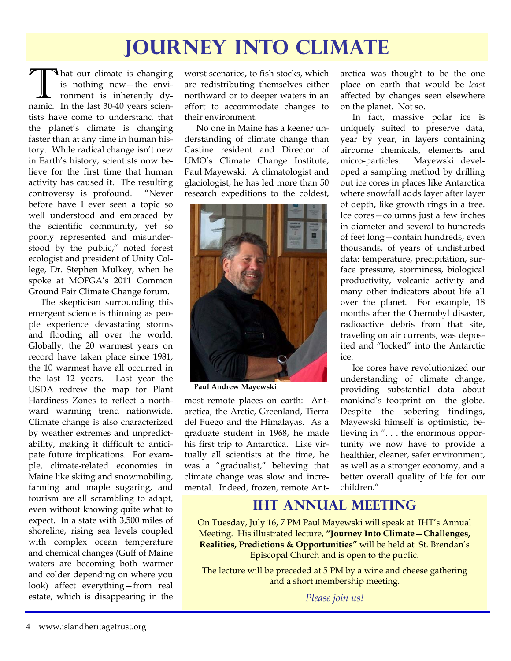# **Journey Into Climate**

That our climate is changing is nothing new—the environment is inherently dynamic. In the last 30-40 years scientists have come to understand that the planet's climate is changing faster than at any time in human history. While radical change isn't new in Earth's history, scientists now believe for the first time that human activity has caused it. The resulting controversy is profound. "Never before have I ever seen a topic so well understood and embraced by the scientific community, yet so poorly represented and misunderstood by the public," noted forest ecologist and president of Unity College, Dr. Stephen Mulkey, when he spoke at MOFGA's 2011 Common Ground Fair Climate Change forum.

 The skepticism surrounding this emergent science is thinning as people experience devastating storms and flooding all over the world. Globally, the 20 warmest years on record have taken place since 1981; the 10 warmest have all occurred in the last 12 years. Last year the USDA redrew the map for Plant Hardiness Zones to reflect a northward warming trend nationwide. Climate change is also characterized by weather extremes and unpredictability, making it difficult to anticipate future implications. For example, climate-related economies in Maine like skiing and snowmobiling, farming and maple sugaring, and tourism are all scrambling to adapt, even without knowing quite what to expect. In a state with 3,500 miles of shoreline, rising sea levels coupled with complex ocean temperature and chemical changes (Gulf of Maine waters are becoming both warmer and colder depending on where you look) affect everything—from real estate, which is disappearing in the worst scenarios, to fish stocks, which are redistributing themselves either northward or to deeper waters in an effort to accommodate changes to their environment.

 No one in Maine has a keener understanding of climate change than Castine resident and Director of UMO's Climate Change Institute, Paul Mayewski. A climatologist and glaciologist, he has led more than 50 research expeditions to the coldest,



**Paul Andrew Mayewski** 

most remote places on earth: Antarctica, the Arctic, Greenland, Tierra del Fuego and the Himalayas. As a graduate student in 1968, he made his first trip to Antarctica. Like virtually all scientists at the time, he was a "gradualist," believing that climate change was slow and incremental. Indeed, frozen, remote Antarctica was thought to be the one place on earth that would be *least* affected by changes seen elsewhere on the planet. Not so.

 In fact, massive polar ice is uniquely suited to preserve data, year by year, in layers containing airborne chemicals, elements and micro-particles. Mayewski developed a sampling method by drilling out ice cores in places like Antarctica where snowfall adds layer after layer of depth, like growth rings in a tree. Ice cores—columns just a few inches in diameter and several to hundreds of feet long—contain hundreds, even thousands, of years of undisturbed data: temperature, precipitation, surface pressure, storminess, biological productivity, volcanic activity and many other indicators about life all over the planet. For example, 18 months after the Chernobyl disaster, radioactive debris from that site, traveling on air currents, was deposited and "locked" into the Antarctic ice.

 Ice cores have revolutionized our understanding of climate change, providing substantial data about mankind's footprint on the globe. Despite the sobering findings, Mayewski himself is optimistic, believing in ". . . the enormous opportunity we now have to provide a healthier, cleaner, safer environment, as well as a stronger economy, and a better overall quality of life for our children."

### **IHT Annual Meeting**

On Tuesday, July 16, 7 PM Paul Mayewski will speak at IHT's Annual Meeting. His illustrated lecture, **"Journey Into Climate—Challenges, Realities, Predictions & Opportunities"** will be held at St. Brendan's Episcopal Church and is open to the public.

The lecture will be preceded at 5 PM by a wine and cheese gathering and a short membership meeting.

*Please join us!*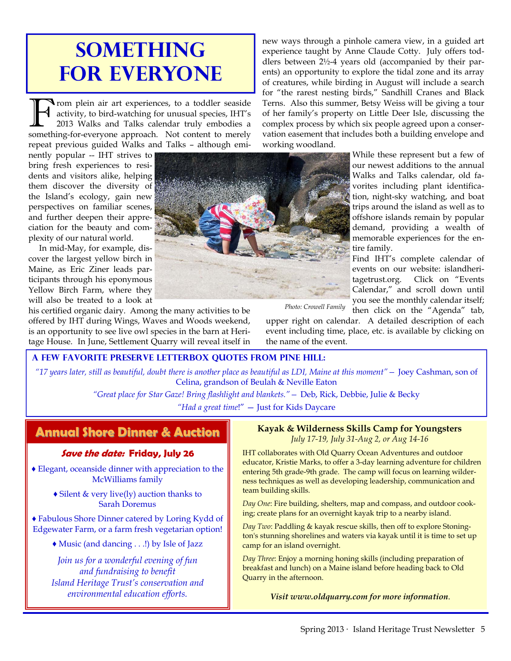# **SOMETHING for Everyone**

F rom plein air art experiences, to a toddler seaside<br>
activity, to bird-watching for unusual species, IHT's<br>
2013 Walks and Talks calendar truly embodies a<br>
something for everyone approach. Not content to merely activity, to bird-watching for unusual species, IHT's something-for-everyone approach. Not content to merely repeat previous guided Walks and Talks – although emi-

nently popular -- IHT strives to bring fresh experiences to residents and visitors alike, helping them discover the diversity of the Island's ecology, gain new perspectives on familiar scenes, and further deepen their appreciation for the beauty and complexity of our natural world.

In mid-May, for example, discover the largest yellow birch in Maine, as Eric Ziner leads participants through his eponymous Yellow Birch Farm, where they will also be treated to a look at

his certified organic dairy. Among the many activities to be offered by IHT during Wings, Waves and Woods weekend, is an opportunity to see live owl species in the barn at Heritage House. In June, Settlement Quarry will reveal itself in new ways through a pinhole camera view, in a guided art experience taught by Anne Claude Cotty. July offers toddlers between 2½-4 years old (accompanied by their parents) an opportunity to explore the tidal zone and its array of creatures, while birding in August will include a search for "the rarest nesting birds," Sandhill Cranes and Black Terns. Also this summer, Betsy Weiss will be giving a tour of her family's property on Little Deer Isle, discussing the complex process by which six people agreed upon a conservation easement that includes both a building envelope and working woodland.

While these represent but a few of our newest additions to the annual Walks and Talks calendar, old favorites including plant identification, night-sky watching, and boat trips around the island as well as to offshore islands remain by popular demand, providing a wealth of memorable experiences for the entire family.

Find IHT's complete calendar of events on our website: islandheritagetrust.org. Click on "Events Calendar," and scroll down until you see the monthly calendar itself; then click on the "Agenda" tab,

*Photo: Crowell Family* 

upper right on calendar. A detailed description of each event including time, place, etc. is available by clicking on the name of the event.

#### **A Few Favorite Preserve Letterbox Quotes From pine hill:**

*"17 years later, still as beautiful, doubt there is another place as beautiful as LDI, Maine at this moment"—* Joey Cashman, son of Celina, grandson of Beulah & Neville Eaton

*"Great place for Star Gaze! Bring flashlight and blankets."—* Deb, Rick, Debbie, Julie & Becky

*"Had a great time*!" — Just for Kids Daycare

### **Annual Shore Dinner & Auction Annual Shore Dinner & Auction**

#### **Save the date: Friday, July 26**

♦ Elegant, oceanside dinner with appreciation to the McWilliams family

> ♦ Silent & very live(ly) auction thanks to Sarah Doremus

♦ Fabulous Shore Dinner catered by Loring Kydd of Edgewater Farm, or a farm fresh vegetarian option!

♦ Music (and dancing . . .!) by Isle of Jazz

*Join us for a wonderful evening of fun and fundraising to benefit Island Heritage Trust's conservation and environmental education efforts.* 

## **Kayak & Wilderness Skills Camp for Youngsters**

IHT collaborates with Old Quarry Ocean Adventures and outdoor educator, Kristie Marks, to offer a 3-day learning adventure for children entering 5th grade-9th grade. The camp will focus on learning wilderness techniques as well as developing leadership, communication and team building skills.

*Day One*: Fire building, shelters, map and compass, and outdoor cooking; create plans for an overnight kayak trip to a nearby island.

*Day Two*: Paddling & kayak rescue skills, then off to explore Stonington's stunning shorelines and waters via kayak until it is time to set up camp for an island overnight.

*Day Three*: Enjoy a morning honing skills (including preparation of breakfast and lunch) on a Maine island before heading back to Old Quarry in the afternoon.

*Visit www.oldquarry.com for more information*.

*July 17-19, July 31-Aug 2, or Aug 14-16* 

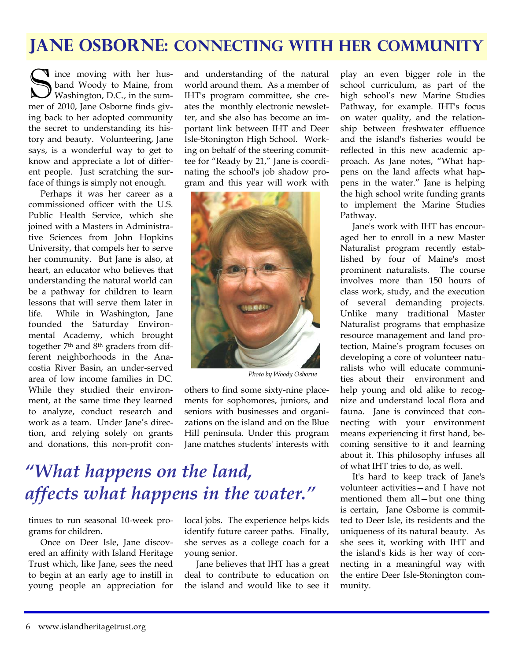### **Jane Osborne: Connecting with Her Community**

**S** ince moving with her husband Woody to Maine, from Washington, D.C., in the summer of 2010, Jane Osborne finds giving back to her adopted community the secret to understanding its history and beauty. Volunteering, Jane says, is a wonderful way to get to know and appreciate a lot of different people. Just scratching the surface of things is simply not enough.

 Perhaps it was her career as a commissioned officer with the U.S. Public Health Service, which she joined with a Masters in Administrative Sciences from John Hopkins University, that compels her to serve her community. But Jane is also, at heart, an educator who believes that understanding the natural world can be a pathway for children to learn lessons that will serve them later in life. While in Washington, Jane founded the Saturday Environmental Academy, which brought together 7th and 8th graders from different neighborhoods in the Anacostia River Basin, an under-served area of low income families in DC. While they studied their environment, at the same time they learned to analyze, conduct research and work as a team. Under Jane's direction, and relying solely on grants and donations, this non-profit conand understanding of the natural world around them. As a member of IHT's program committee, she creates the monthly electronic newsletter, and she also has become an important link between IHT and Deer Isle-Stonington High School. Working on behalf of the steering committee for "Ready by 21," Jane is coordinating the school's job shadow program and this year will work with



*Photo by Woody Osborne* 

others to find some sixty-nine placements for sophomores, juniors, and seniors with businesses and organizations on the island and on the Blue Hill peninsula. Under this program Jane matches students' interests with

# *"What happens on the land, affects what happens in the water."*

tinues to run seasonal 10-week programs for children.

 Once on Deer Isle, Jane discovered an affinity with Island Heritage Trust which, like Jane, sees the need to begin at an early age to instill in young people an appreciation for local jobs. The experience helps kids identify future career paths. Finally, she serves as a college coach for a young senior.

 Jane believes that IHT has a great deal to contribute to education on the island and would like to see it play an even bigger role in the school curriculum, as part of the high school's new Marine Studies Pathway, for example. IHT's focus on water quality, and the relationship between freshwater effluence and the island's fisheries would be reflected in this new academic approach. As Jane notes, "What happens on the land affects what happens in the water." Jane is helping the high school write funding grants to implement the Marine Studies Pathway.

 Jane's work with IHT has encouraged her to enroll in a new Master Naturalist program recently established by four of Maine's most prominent naturalists. The course involves more than 150 hours of class work, study, and the execution of several demanding projects. Unlike many traditional Master Naturalist programs that emphasize resource management and land protection, Maine's program focuses on developing a core of volunteer naturalists who will educate communities about their environment and help young and old alike to recognize and understand local flora and fauna. Jane is convinced that connecting with your environment means experiencing it first hand, becoming sensitive to it and learning about it. This philosophy infuses all of what IHT tries to do, as well.

 It's hard to keep track of Jane's volunteer activities—and I have not mentioned them all—but one thing is certain, Jane Osborne is committed to Deer Isle, its residents and the uniqueness of its natural beauty. As she sees it, working with IHT and the island's kids is her way of connecting in a meaningful way with the entire Deer Isle-Stonington community.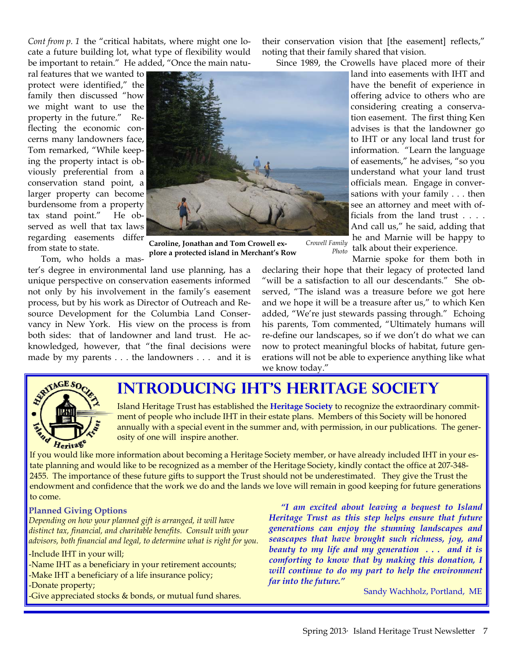*Cont from p. 1* the "critical habitats, where might one locate a future building lot, what type of flexibility would be important to retain." He added, "Once the main natu-

ral features that we wanted to protect were identified," the family then discussed "how we might want to use the property in the future." Reflecting the economic concerns many landowners face, Tom remarked, "While keeping the property intact is obviously preferential from a conservation stand point, a larger property can become burdensome from a property tax stand point." He observed as well that tax laws regarding easements differ from state to state.

 Tom, who holds a master's degree in environmental land use planning, has a unique perspective on conservation easements informed not only by his involvement in the family's easement process, but by his work as Director of Outreach and Resource Development for the Columbia Land Conservancy in New York. His view on the process is from both sides: that of landowner and land trust. He acknowledged, however, that "the final decisions were made by my parents . . . the landowners . . . and it is **plore a protected island in Merchant's Row** 

their conservation vision that [the easement] reflects," noting that their family shared that vision.

Since 1989, the Crowells have placed more of their

land into easements with IHT and have the benefit of experience in offering advice to others who are considering creating a conservation easement. The first thing Ken advises is that the landowner go to IHT or any local land trust for information. "Learn the language of easements," he advises, "so you understand what your land trust officials mean. Engage in conversations with your family . . . then see an attorney and meet with officials from the land trust . . . . And call us," he said, adding that he and Marnie will be happy to talk about their experience.

*Crowell Family Photo* 

Marnie spoke for them both in declaring their hope that their legacy of protected land "will be a satisfaction to all our descendants." She observed, "The island was a treasure before we got here and we hope it will be a treasure after us," to which Ken added, "We're just stewards passing through." Echoing his parents, Tom commented, "Ultimately humans will re-define our landscapes, so if we don't do what we can now to protect meaningful blocks of habitat, future generations will not be able to experience anything like what we know today."



### **Introducing IHT's HERITAGE SOCIETY**

Island Heritage Trust has established the **Heritage Society** to recognize the extraordinary commitment of people who include IHT in their estate plans. Members of this Society will be honored annually with a special event in the summer and, with permission, in our publications. The generosity of one will inspire another.

If you would like more information about becoming a Heritage Society member, or have already included IHT in your estate planning and would like to be recognized as a member of the Heritage Society, kindly contact the office at 207-348- 2455. The importance of these future gifts to support the Trust should not be underestimated. They give the Trust the endowment and confidence that the work we do and the lands we love will remain in good keeping for future generations to come.

**Caroline, Jonathan and Tom Crowell ex-**

#### **Planned Giving Options**

*Depending on how your planned gift is arranged, it will have distinct tax, financial, and charitable benefits. Consult with your advisors, both financial and legal, to determine what is right for you.* 

-Include IHT in your will; -Name IHT as a beneficiary in your retirement accounts; -Make IHT a beneficiary of a life insurance policy; -Donate property; Give appreciated stocks & bonds, or mutual fund shares.

*"I am excited about leaving a bequest to Island Heritage Trust as this step helps ensure that future generations can enjoy the stunning landscapes and seascapes that have brought such richness, joy, and beauty to my life and my generation . . . and it is comforting to know that by making this donation, I will continue to do my part to help the environment far into the future."* 

Sandy Wachholz, Portland, ME